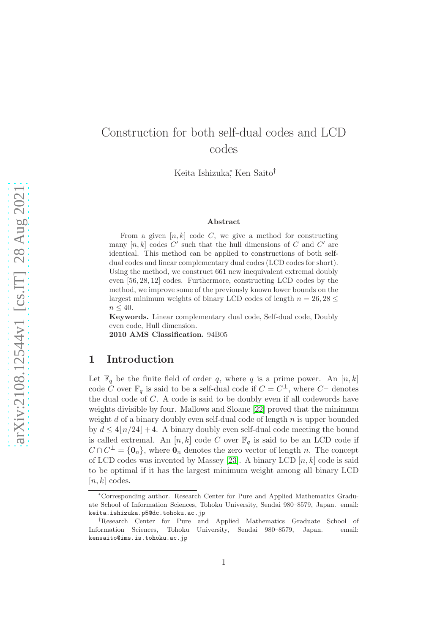# Construction for both self-dual codes and LCD codes

Keita Ishizuka<sup>∗</sup> , Ken Saito†

#### Abstract

From a given  $[n, k]$  code C, we give a method for constructing many  $[n, k]$  codes  $C'$  such that the hull dimensions of C and C' are identical. This method can be applied to constructions of both selfdual codes and linear complementary dual codes (LCD codes for short). Using the method, we construct 661 new inequivalent extremal doubly even [56, 28, 12] codes. Furthermore, constructing LCD codes by the method, we improve some of the previously known lower bounds on the largest minimum weights of binary LCD codes of length  $n = 26, 28 \leq$  $n \leq 40$ .

Keywords. Linear complementary dual code, Self-dual code, Doubly even code, Hull dimension.

2010 AMS Classification. 94B05

#### 1 Introduction

Let  $\mathbb{F}_q$  be the finite field of order q, where q is a prime power. An  $[n, k]$ code C over  $\mathbb{F}_q$  is said to be a self-dual code if  $C = C^{\perp}$ , where  $C^{\perp}$  denotes the dual code of C. A code is said to be doubly even if all codewords have weights divisible by four. Mallows and Sloane [\[22\]](#page-16-0) proved that the minimum weight d of a binary doubly even self-dual code of length  $n$  is upper bounded by  $d \leq 4\lfloor n/24 \rfloor + 4$ . A binary doubly even self-dual code meeting the bound is called extremal. An  $[n, k]$  code C over  $\mathbb{F}_q$  is said to be an LCD code if  $C \cap C^{\perp} = \{0_n\}$ , where  $0_n$  denotes the zero vector of length n. The concept of LCD codes was invented by Massey [\[23\]](#page-16-1). A binary LCD  $[n, k]$  code is said to be optimal if it has the largest minimum weight among all binary LCD  $[n, k]$  codes.

<sup>∗</sup>Corresponding author. Research Center for Pure and Applied Mathematics Graduate School of Information Sciences, Tohoku University, Sendai 980–8579, Japan. email: keita.ishizuka.p5@dc.tohoku.ac.jp

<sup>†</sup>Research Center for Pure and Applied Mathematics Graduate School of Information Sciences, Tohoku University, Sendai 980–8579, Japan. email: kensaito@ims.is.tohoku.ac.jp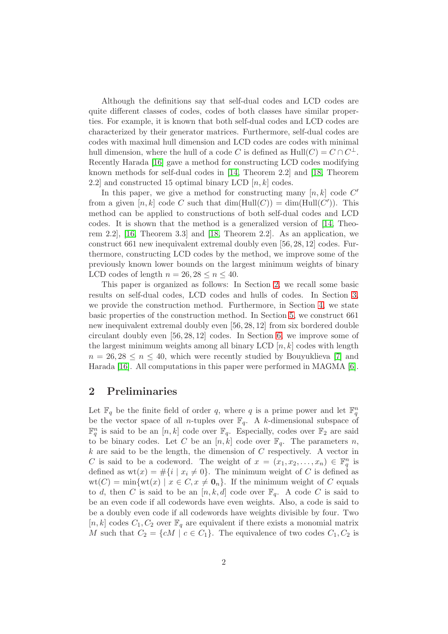Although the definitions say that self-dual codes and LCD codes are quite different classes of codes, codes of both classes have similar properties. For example, it is known that both self-dual codes and LCD codes are characterized by their generator matrices. Furthermore, self-dual codes are codes with maximal hull dimension and LCD codes are codes with minimal hull dimension, where the hull of a code C is defined as  $Hull(C) = C \cap C^{\perp}$ . Recently Harada [\[16\]](#page-16-2) gave a method for constructing LCD codes modifying known methods for self-dual codes in [\[14,](#page-15-0) Theorem 2.2] and [\[18,](#page-16-3) Theorem 2.2] and constructed 15 optimal binary LCD  $[n, k]$  codes.

In this paper, we give a method for constructing many  $[n, k]$  code  $C'$ from a given  $[n, k]$  code C such that  $\dim(\text{Hull}(C)) = \dim(\text{Hull}(C'))$ . This method can be applied to constructions of both self-dual codes and LCD codes. It is shown that the method is a generalized version of [\[14,](#page-15-0) Theorem 2.2], [\[16,](#page-16-2) Theorem 3.3] and [\[18,](#page-16-3) Theorem 2.2]. As an application, we construct 661 new inequivalent extremal doubly even [56, 28, 12] codes. Furthermore, constructing LCD codes by the method, we improve some of the previously known lower bounds on the largest minimum weights of binary LCD codes of length  $n = 26, 28 \le n \le 40$ .

This paper is organized as follows: In Section [2,](#page-1-0) we recall some basic results on self-dual codes, LCD codes and hulls of codes. In Section [3,](#page-3-0) we provide the construction method. Furthermore, in Section [4,](#page-6-0) we state basic properties of the construction method. In Section [5,](#page-7-0) we construct 661 new inequivalent extremal doubly even [56, 28, 12] from six bordered double circulant doubly even [56, 28, 12] codes. In Section [6,](#page-9-0) we improve some of the largest minimum weights among all binary LCD  $[n, k]$  codes with length  $n = 26, 28 \leq n \leq 40$ , which were recently studied by Bouyuklieva [\[7\]](#page-15-1) and Harada [\[16\]](#page-16-2). All computations in this paper were performed in MAGMA [\[6\]](#page-15-2).

#### <span id="page-1-0"></span>2 Preliminaries

Let  $\mathbb{F}_q$  be the finite field of order q, where q is a prime power and let  $\mathbb{F}_q^n$ be the vector space of all *n*-tuples over  $\mathbb{F}_q$ . A *k*-dimensional subspace of  $\mathbb{F}_q^n$  is said to be an  $[n, k]$  code over  $\mathbb{F}_q$ . Especially, codes over  $\mathbb{F}_2$  are said to be binary codes. Let C be an  $[n, k]$  code over  $\mathbb{F}_q$ . The parameters n,  $k$  are said to be the length, the dimension of  $C$  respectively. A vector in C is said to be a codeword. The weight of  $x = (x_1, x_2, \ldots, x_n) \in \mathbb{F}_q^n$  is defined as  $wt(x) = \#\{i \mid x_i \neq 0\}$ . The minimum weight of C is defined as  $wt(C) = min\{wt(x) | x \in C, x \neq 0_n\}.$  If the minimum weight of C equals to d, then C is said to be an  $[n, k, d]$  code over  $\mathbb{F}_q$ . A code C is said to be an even code if all codewords have even weights. Also, a code is said to be a doubly even code if all codewords have weights divisible by four. Two [n, k] codes  $C_1, C_2$  over  $\mathbb{F}_q$  are equivalent if there exists a monomial matrix M such that  $C_2 = \{cM \mid c \in C_1\}$ . The equivalence of two codes  $C_1, C_2$  is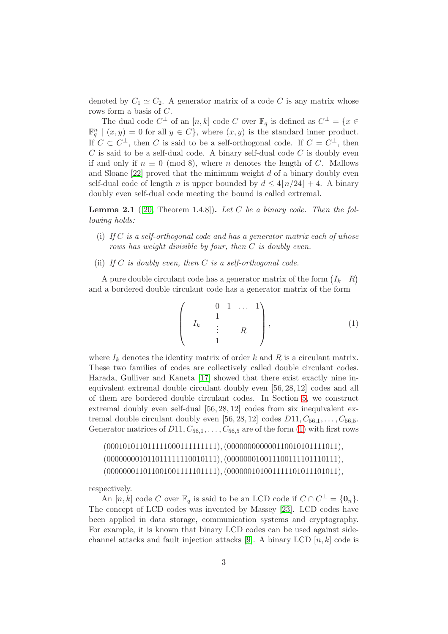denoted by  $C_1 \simeq C_2$ . A generator matrix of a code C is any matrix whose rows form a basis of C.

The dual code  $C^{\perp}$  of an  $[n, k]$  code C over  $\mathbb{F}_q$  is defined as  $C^{\perp} = \{x \in$  $\mathbb{F}_q^n \mid (x, y) = 0$  for all  $y \in C$ , where  $(x, y)$  is the standard inner product. If  $C \subset C^{\perp}$ , then C is said to be a self-orthogonal code. If  $C = C^{\perp}$ , then  $C$  is said to be a self-dual code. A binary self-dual code  $C$  is doubly even if and only if  $n \equiv 0 \pmod{8}$ , where n denotes the length of C. Mallows and Sloane  $[22]$  proved that the minimum weight d of a binary doubly even self-dual code of length n is upper bounded by  $d \leq 4\lfloor n/24 \rfloor + 4$ . A binary doubly even self-dual code meeting the bound is called extremal.

<span id="page-2-1"></span>Lemma 2.1 ([\[20,](#page-16-4) Theorem 1.4.8]). *Let* C *be a binary code. Then the following holds:*

- (i) *If* C *is a self-orthogonal code and has a generator matrix each of whose rows has weight divisible by four, then* C *is doubly even.*
- (ii) *If* C *is doubly even, then* C *is a self-orthogonal code.*

A pure double circulant code has a generator matrix of the form  $(I_k \ R)$ and a bordered double circulant code has a generator matrix of the form

<span id="page-2-0"></span>
$$
\left(\begin{array}{cccc} & 0 & 1 & \dots & 1 \\ & 1 & & \\ I_k & & \vdots & & R \\ & & 1 & & \end{array}\right), \tag{1}
$$

where  $I_k$  denotes the identity matrix of order k and R is a circulant matrix. These two families of codes are collectively called double circulant codes. Harada, Gulliver and Kaneta [\[17\]](#page-16-5) showed that there exist exactly nine inequivalent extremal double circulant doubly even [56, 28, 12] codes and all of them are bordered double circulant codes. In Section [5,](#page-7-0) we construct extremal doubly even self-dual [56, 28, 12] codes from six inequivalent extremal double circulant doubly even [56, 28, 12] codes  $D11, C_{56,1}, \ldots, C_{56,5}$ . Generator matrices of  $D11, C_{56,1}, \ldots, C_{56,5}$  are of the form [\(1\)](#page-2-0) with first rows

```
(000101011011111000111111111),(000000000000110010101111011),
(000000001011011111110010111),(000000010011100111101110111),
(000000011011001001111101111),(000000101001111101011101011),
```
respectively.

An [n, k] code C over  $\mathbb{F}_q$  is said to be an LCD code if  $C \cap C^{\perp} = \{\mathbf{0}_n\}.$ The concept of LCD codes was invented by Massey [\[23\]](#page-16-1). LCD codes have been applied in data storage, communication systems and cryptography. For example, it is known that binary LCD codes can be used against side-channel attacks and fault injection attacks [\[9\]](#page-15-3). A binary LCD  $[n, k]$  code is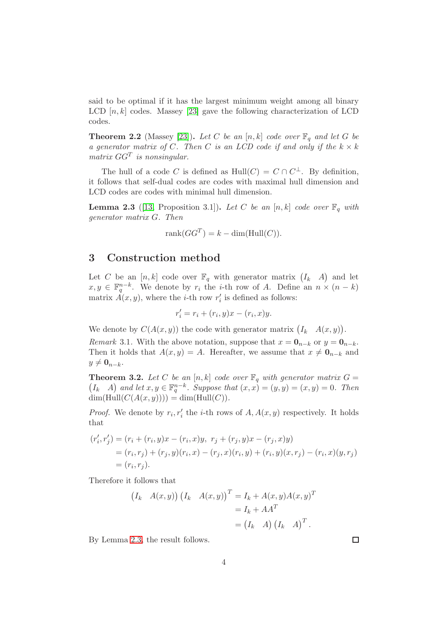said to be optimal if it has the largest minimum weight among all binary LCD  $[n, k]$  codes. Massey [\[23\]](#page-16-1) gave the following characterization of LCD codes.

**Theorem 2.2** (Massey [\[23\]](#page-16-1)). Let C be an  $[n, k]$  code over  $\mathbb{F}_q$  and let G be *a generator matrix of* C. Then C *is an LCD code if and only if the*  $k \times k$ *matrix* GG<sup>T</sup> *is nonsingular.*

The hull of a code C is defined as  $Hull(C) = C \cap C^{\perp}$ . By definition, it follows that self-dual codes are codes with maximal hull dimension and LCD codes are codes with minimal hull dimension.

<span id="page-3-1"></span>**Lemma 2.3** ([\[13,](#page-15-4) Proposition 3.1]). Let C be an  $[n, k]$  code over  $\mathbb{F}_q$  with *generator matrix* G*. Then*

$$
rank(GG^T) = k - dim(Hull(C)).
$$

#### <span id="page-3-0"></span>3 Construction method

Let C be an  $[n, k]$  code over  $\mathbb{F}_q$  with generator matrix  $(I_k \ A)$  and let  $x, y \in \mathbb{F}_q^{n-k}$ . We denote by  $r_i$  the *i*-th row of A. Define an  $n \times (n-k)$ matrix  $\overrightarrow{A}(x, y)$ , where the *i*-th row r'  $i<sub>i</sub>$  is defined as follows:

$$
r_i' = r_i + (r_i, y)x - (r_i, x)y.
$$

We denote by  $C(A(x, y))$  the code with generator matrix  $(I_k \ A(x, y)).$ 

*Remark* 3.1. With the above notation, suppose that  $x = \mathbf{0}_{n-k}$  or  $y = \mathbf{0}_{n-k}$ . Then it holds that  $A(x, y) = A$ . Hereafter, we assume that  $x \neq \mathbf{0}_{n-k}$  and  $y \neq \mathbf{0}_{n-k}.$ 

<span id="page-3-2"></span>**Theorem 3.2.** Let C be an  $[n, k]$  code over  $\mathbb{F}_q$  with generator matrix  $G =$  $(I_k \ A)$  and let  $x, y \in \mathbb{F}_q^{n-k}$ . Suppose that  $(x, x) = (y, y) = (x, y) = 0$ . Then  $dim(Hull(C(A(x, y)))) = dim(Hull(C)).$ 

*Proof.* We denote by  $r_i, r'_i$  the *i*-th rows of  $A, A(x, y)$  respectively. It holds that

$$
(r'_i, r'_j) = (r_i + (r_i, y)x - (r_i, x)y, r_j + (r_j, y)x - (r_j, x)y)
$$
  
=  $(r_i, r_j) + (r_j, y)(r_i, x) - (r_j, x)(r_i, y) + (r_i, y)(x, r_j) - (r_i, x)(y, r_j)$   
=  $(r_i, r_j).$ 

Therefore it follows that

$$
(I_k \t A(x,y)) (I_k \t A(x,y))^{T} = I_k + A(x,y)A(x,y)^{T}
$$

$$
= I_k + AA^{T}
$$

$$
= (I_k \t A) (I_k \t A)^{T}.
$$

By Lemma [2.3,](#page-3-1) the result follows.

 $\Box$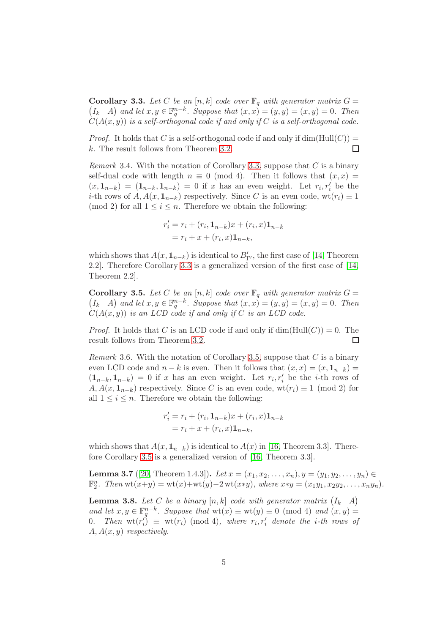<span id="page-4-0"></span>**Corollary 3.3.** Let C be an  $[n, k]$  code over  $\mathbb{F}_q$  with generator matrix  $G =$  $(I_k \ A)$  and let  $x, y \in \mathbb{F}_q^{n-k}$ . Suppose that  $(x, x) = (y, y) = (x, y) = 0$ . Then  $C(A(x, y))$  *is a self-orthogonal code if and only if* C *is a self-orthogonal code.* 

*Proof.* It holds that C is a self-orthogonal code if and only if  $dim(Hull(C)) =$ k. The result follows from Theorem [3.2.](#page-3-2)  $\Box$ 

*Remark* 3.4*.* With the notation of Corollary [3.3,](#page-4-0) suppose that C is a binary self-dual code with length  $n \equiv 0 \pmod{4}$ . Then it follows that  $(x, x) =$  $(x, 1_{n-k}) = (1_{n-k}, 1_{n-k}) = 0$  if x has an even weight. Let  $r_i, r'_i$  be the *i*-th rows of  $A, A(x, 1_{n-k})$  respectively. Since C is an even code, wt $(r_i) \equiv 1$ (mod 2) for all  $1 \leq i \leq n$ . Therefore we obtain the following:

$$
r'_{i} = r_{i} + (r_{i}, \mathbf{1}_{n-k})x + (r_{i}, x)\mathbf{1}_{n-k}
$$

$$
= r_{i} + x + (r_{i}, x)\mathbf{1}_{n-k},
$$

which shows that  $A(x, \mathbf{1}_{n-k})$  is identical to  $B'_{\Gamma'}$ , the first case of [\[14,](#page-15-0) Theorem 2.2]. Therefore Corollary [3.3](#page-4-0) is a generalized version of the first case of [\[14,](#page-15-0) Theorem 2.2].

<span id="page-4-1"></span>**Corollary 3.5.** Let C be an  $[n, k]$  code over  $\mathbb{F}_q$  with generator matrix  $G =$  $(I_k \ A)$  and let  $x, y \in \mathbb{F}_q^{n-k}$ . Suppose that  $(x, x) = (y, y) = (x, y) = 0$ . Then  $C(A(x, y))$  *is an LCD code if and only if* C *is an LCD code.* 

*Proof.* It holds that C is an LCD code if and only if  $\dim(\text{Hull}(C)) = 0$ . The result follows from Theorem [3.2.](#page-3-2)  $\Box$ 

*Remark* 3.6*.* With the notation of Corollary [3.5,](#page-4-1) suppose that C is a binary even LCD code and  $n - k$  is even. Then it follows that  $(x, x) = (x, 1_{n-k})$  $(1_{n-k}, 1_{n-k}) = 0$  if x has an even weight. Let  $r_i, r'_i$  be the *i*-th rows of  $A, A(x, 1_{n-k})$  respectively. Since C is an even code, wt $(r_i) \equiv 1 \pmod{2}$  for all  $1 \leq i \leq n$ . Therefore we obtain the following:

$$
r'_{i} = r_{i} + (r_{i}, \mathbf{1}_{n-k})x + (r_{i}, x)\mathbf{1}_{n-k}
$$

$$
= r_{i} + x + (r_{i}, x)\mathbf{1}_{n-k},
$$

which shows that  $A(x, 1_{n-k})$  is identical to  $A(x)$  in [\[16,](#page-16-2) Theorem 3.3]. Therefore Corollary [3.5](#page-4-1) is a generalized version of [\[16,](#page-16-2) Theorem 3.3].

<span id="page-4-2"></span>**Lemma 3.7** ([\[20,](#page-16-4) Theorem 1.4.3]). *Let*  $x = (x_1, x_2, \ldots, x_n), y = (y_1, y_2, \ldots, y_n) \in$  $\mathbb{F}_2^n$ . Then  $\text{wt}(x+y) = \text{wt}(x) + \text{wt}(y) - 2 \text{wt}(x*y)$ , where  $x*y = (x_1y_1, x_2y_2, \ldots, x_ny_n)$ .

<span id="page-4-3"></span>**Lemma 3.8.** Let C be a binary  $[n, k]$  code with generator matrix  $(I_k \ A)$ and let  $x, y \in \mathbb{F}_q^{n-k}$ . Suppose that  $\text{wt}(x) \equiv \text{wt}(y) \equiv 0 \pmod{4}$  and  $(x, y) =$ 0. Then  $wt(r'_i)$  $\mathcal{L}_i^{\prime}$  = wt(r<sub>i</sub>) (mod 4), where  $r_i, r'_i$  denote the *i*-th rows of A, A(x, y) *respectively.*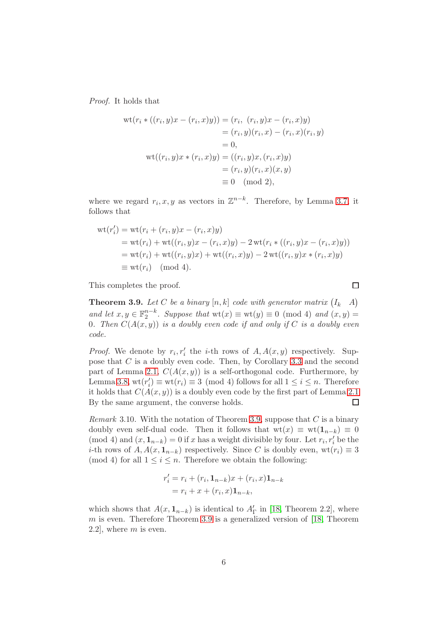*Proof.* It holds that

$$
wt(r_i * ((r_i, y)x - (r_i, x)y)) = (r_i, (r_i, y)x - (r_i, x)y)
$$
  

$$
= (r_i, y)(r_i, x) - (r_i, x)(r_i, y)
$$
  

$$
= 0,
$$
  

$$
wt((r_i, y)x * (r_i, x)y) = ((r_i, y)x, (r_i, x)y)
$$
  

$$
= (r_i, y)(r_i, x)(x, y)
$$
  

$$
\equiv 0 \pmod{2},
$$

where we regard  $r_i, x, y$  as vectors in  $\mathbb{Z}^{n-k}$ . Therefore, by Lemma [3.7,](#page-4-2) it follows that

$$
wt(r'_i) = wt(r_i + (r_i, y)x - (r_i, x)y)
$$
  
= wt(r\_i) + wt((r\_i, y)x - (r\_i, x)y) - 2 wt(r\_i \* ((r\_i, y)x - (r\_i, x)y))  
= wt(r\_i) + wt((r\_i, y)x) + wt((r\_i, x)y) - 2 wt((r\_i, y)x \* (r\_i, x)y)  
\equiv wt(r\_i) \pmod{4}.

This completes the proof.

<span id="page-5-0"></span>**Theorem 3.9.** Let C be a binary  $[n, k]$  code with generator matrix  $(I_k \ A)$ and let  $x, y \in \mathbb{F}_2^{n-k}$ . Suppose that  $wt(x) \equiv wt(y) \equiv 0 \pmod{4}$  and  $(x, y) =$ 0*.* Then  $C(A(x, y))$  *is a doubly even code if and only if* C *is a doubly even code.*

 $\Box$ 

*Proof.* We denote by  $r_i, r'_i$  the *i*-th rows of  $A, A(x, y)$  respectively. Suppose that C is a doubly even code. Then, by Corollary [3.3](#page-4-0) and the second part of Lemma [2.1,](#page-2-1)  $C(A(x, y))$  is a self-orthogonal code. Furthermore, by Lemma [3.8,](#page-4-3)  $wt(r'_i)$  $i'_i$   $\equiv$  wt $(r_i) \equiv 3 \pmod{4}$  follows for all  $1 \leq i \leq n$ . Therefore it holds that  $C(A(x, y))$  is a doubly even code by the first part of Lemma [2.1](#page-2-1) By the same argument, the converse holds.  $\Box$ 

*Remark* 3.10*.* With the notation of Theorem [3.9,](#page-5-0) suppose that C is a binary doubly even self-dual code. Then it follows that  $wt(x) \equiv wt(1_{n-k}) \equiv 0$ (mod 4) and  $(x, 1_{n-k}) = 0$  if x has a weight divisible by four. Let  $r_i, r'_i$  be the *i*-th rows of  $A, A(x, 1_{n-k})$  respectively. Since C is doubly even, wt $(r_i) \equiv 3$ (mod 4) for all  $1 \leq i \leq n$ . Therefore we obtain the following:

$$
r'_{i} = r_{i} + (r_{i}, \mathbf{1}_{n-k})x + (r_{i}, x)\mathbf{1}_{n-k}
$$

$$
= r_{i} + x + (r_{i}, x)\mathbf{1}_{n-k},
$$

which shows that  $A(x, 1_{n-k})$  is identical to  $A'_{\Gamma}$  in [\[18,](#page-16-3) Theorem 2.2], where m is even. Therefore Theorem [3.9](#page-5-0) is a generalized version of  $[18,$  Theorem 2.2, where  $m$  is even.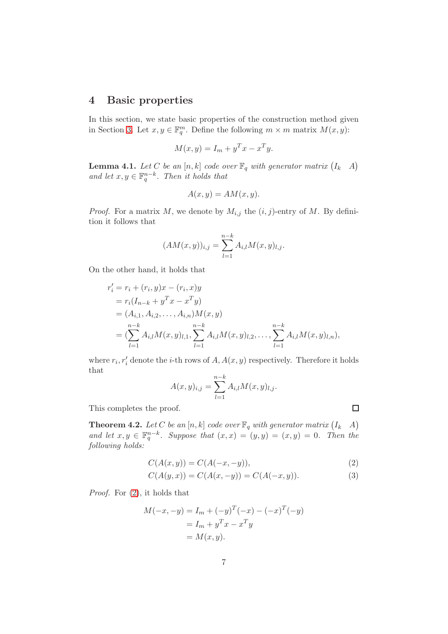#### <span id="page-6-0"></span>4 Basic properties

In this section, we state basic properties of the construction method given in Section [3.](#page-3-0) Let  $x, y \in \mathbb{F}_q^m$ . Define the following  $m \times m$  matrix  $M(x, y)$ :

$$
M(x, y) = I_m + y^T x - x^T y.
$$

**Lemma 4.1.** Let C be an  $[n, k]$  code over  $\mathbb{F}_q$  with generator matrix  $(I_k \mid A)$ and let  $x, y \in \mathbb{F}_q^{n-k}$ . Then it holds that

$$
A(x, y) = AM(x, y).
$$

*Proof.* For a matrix M, we denote by  $M_{i,j}$  the  $(i, j)$ -entry of M. By definition it follows that

$$
(AM(x, y))_{i,j} = \sum_{l=1}^{n-k} A_{i,l} M(x, y)_{l,j}.
$$

On the other hand, it holds that

$$
r'_{i} = r_{i} + (r_{i}, y)x - (r_{i}, x)y
$$
  
=  $r_{i}(I_{n-k} + y^{T}x - x^{T}y)$   
=  $(A_{i,1}, A_{i,2},..., A_{i,n})M(x, y)$   
=  $(\sum_{l=1}^{n-k} A_{i,l}M(x, y)_{l,1}, \sum_{l=1}^{n-k} A_{i,l}M(x, y)_{l,2},..., \sum_{l=1}^{n-k} A_{i,l}M(x, y)_{l,n}),$ 

where  $r_i, r'_i$  denote the *i*-th rows of  $A, A(x, y)$  respectively. Therefore it holds that

$$
A(x, y)_{i,j} = \sum_{l=1}^{n-k} A_{i,l} M(x, y)_{l,j}.
$$

This completes the proof.

<span id="page-6-3"></span>**Theorem 4.2.** Let C be an  $[n, k]$  code over  $\mathbb{F}_q$  with generator matrix  $(I_k \ A)$ and let  $x, y \in \mathbb{F}_q^{n-k}$ . Suppose that  $(x, x) = (y, y) = (x, y) = 0$ . Then the *following holds:*

$$
C(A(x, y)) = C(A(-x, -y)),
$$
\n(2)

$$
C(A(y,x)) = C(A(x, -y)) = C(A(-x, y)).
$$
\n(3)

*Proof.* For [\(2\)](#page-6-1), it holds that

$$
M(-x, -y) = I_m + (-y)^T(-x) - (-x)^T(-y)
$$
  
=  $I_m + y^T x - x^T y$   
=  $M(x, y)$ .

<span id="page-6-2"></span><span id="page-6-1"></span> $\Box$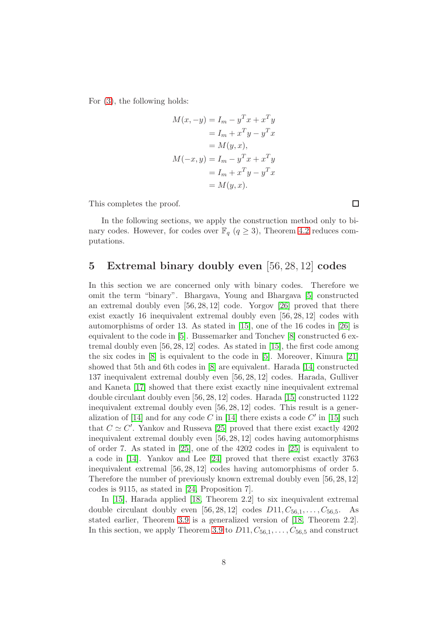For [\(3\)](#page-6-2), the following holds:

$$
M(x, -y) = I_m - y^T x + x^T y
$$
  
=  $I_m + x^T y - y^T x$   
=  $M(y, x)$ ,  

$$
M(-x, y) = I_m - y^T x + x^T y
$$
  
=  $I_m + x^T y - y^T x$   
=  $M(y, x)$ .

This completes the proof.

In the following sections, we apply the construction method only to binary codes. However, for codes over  $\mathbb{F}_q$   $(q \geq 3)$ , Theorem [4.2](#page-6-3) reduces computations.

### <span id="page-7-0"></span>5 Extremal binary doubly even [56, 28, 12] codes

In this section we are concerned only with binary codes. Therefore we omit the term "binary". Bhargava, Young and Bhargava [\[5\]](#page-15-5) constructed an extremal doubly even  $[56, 28, 12]$  code. Yorgov  $[26]$  proved that there exist exactly 16 inequivalent extremal doubly even [56, 28, 12] codes with automorphisms of order 13. As stated in [\[15\]](#page-16-7), one of the 16 codes in [\[26\]](#page-16-6) is equivalent to the code in [\[5\]](#page-15-5). Bussemarker and Tonchev [\[8\]](#page-15-6) constructed 6 extremal doubly even [56, 28, 12] codes. As stated in [\[15\]](#page-16-7), the first code among the six codes in [\[8\]](#page-15-6) is equivalent to the code in [\[5\]](#page-15-5). Moreover, Kimura [\[21\]](#page-16-8) showed that 5th and 6th codes in [\[8\]](#page-15-6) are equivalent. Harada [\[14\]](#page-15-0) constructed 137 inequivalent extremal doubly even [56, 28, 12] codes. Harada, Gulliver and Kaneta [\[17\]](#page-16-5) showed that there exist exactly nine inequivalent extremal double circulant doubly even [56, 28, 12] codes. Harada [\[15\]](#page-16-7) constructed 1122 inequivalent extremal doubly even [56, 28, 12] codes. This result is a gener-alization of [\[14\]](#page-15-0) and for any code C in [14] there exists a code C' in [\[15\]](#page-16-7) such that  $C \simeq C'$ . Yankov and Russeva [\[25\]](#page-16-9) proved that there exist exactly 4202 inequivalent extremal doubly even [56, 28, 12] codes having automorphisms of order 7. As stated in [\[25\]](#page-16-9), one of the 4202 codes in [\[25\]](#page-16-9) is equivalent to a code in [\[14\]](#page-15-0). Yankov and Lee [\[24\]](#page-16-10) proved that there exist exactly 3763 inequivalent extremal [56, 28, 12] codes having automorphisms of order 5. Therefore the number of previously known extremal doubly even [56, 28, 12] codes is 9115, as stated in [\[24,](#page-16-10) Proposition 7].

In [\[15\]](#page-16-7), Harada applied [\[18,](#page-16-3) Theorem 2.2] to six inequivalent extremal double circulant doubly even [56, 28, 12] codes  $D11, C_{56,1}, \ldots, C_{56,5}$ . As stated earlier, Theorem [3.9](#page-5-0) is a generalized version of [\[18,](#page-16-3) Theorem 2.2]. In this section, we apply Theorem [3.9](#page-5-0) to  $D11, C_{56,1}, \ldots, C_{56,5}$  and construct

 $\Box$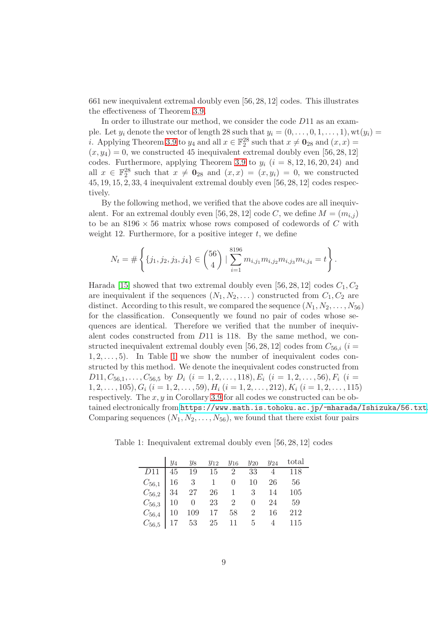661 new inequivalent extremal doubly even [56, 28, 12] codes. This illustrates the effectiveness of Theorem [3.9.](#page-5-0)

In order to illustrate our method, we consider the code D11 as an example. Let  $y_i$  denote the vector of length 28 such that  $y_i = (0, \ldots, 0, 1, \ldots, 1),$  wt $(y_i)$ *i*. Applying Theorem [3.9](#page-5-0) to  $y_4$  and all  $x \in \mathbb{F}_2^{28}$  such that  $x \neq \mathbf{0}_{28}$  and  $(x, x) =$  $(x, y_4) = 0$ , we constructed 45 inequivalent extremal doubly even [56, 28, 12] codes. Furthermore, applying Theorem [3.9](#page-5-0) to  $y_i$  ( $i = 8, 12, 16, 20, 24$ ) and all  $x \in \mathbb{F}_2^{28}$  such that  $x \neq \mathbf{0}_{28}$  and  $(x, x) = (x, y_i) = 0$ , we constructed 45, 19, 15, 2, 33, 4 inequivalent extremal doubly even [56, 28, 12] codes respectively.

By the following method, we verified that the above codes are all inequivalent. For an extremal doubly even [56, 28, 12] code C, we define  $M = (m_{i,j})$ to be an  $8196 \times 56$  matrix whose rows composed of codewords of C with weight 12. Furthermore, for a positive integer  $t$ , we define

$$
N_t = \# \left\{ \{j_1, j_2, j_3, j_4\} \in \binom{56}{4} \mid \sum_{i=1}^{8196} m_{i,j_1} m_{i,j_2} m_{i,j_3} m_{i,j_4} = t \right\}.
$$

Harada [\[15\]](#page-16-7) showed that two extremal doubly even [56, 28, 12] codes  $C_1, C_2$ are inequivalent if the sequences  $(N_1, N_2, ...)$  constructed from  $C_1, C_2$  are distinct. According to this result, we compared the sequence  $(N_1, N_2, \ldots, N_{56})$ for the classification. Consequently we found no pair of codes whose sequences are identical. Therefore we verified that the number of inequivalent codes constructed from D11 is 118. By the same method, we constructed inequivalent extremal doubly even [56, 28, 12] codes from  $C_{56,i}$  (i =  $1, 2, \ldots, 5$ . In Table [1](#page-8-0) we show the number of inequivalent codes constructed by this method. We denote the inequivalent codes constructed from  $D11, C_{56,1}, \ldots, C_{56,5}$  by  $D_i$   $(i = 1, 2, \ldots, 118), E_i$   $(i = 1, 2, \ldots, 56), F_i$   $(i =$  $1, 2, \ldots, 105$ ,  $G_i$   $(i = 1, 2, \ldots, 59)$ ,  $H_i$   $(i = 1, 2, \ldots, 212)$ ,  $K_i$   $(i = 1, 2, \ldots, 115)$ respectively. The  $x, y$  in Corollary [3.9](#page-5-0) for all codes we constructed can be obtained electronically from <https://www.math.is.tohoku.ac.jp/~mharada/Ishizuka/56.txt>. Comparing sequences  $(N_1, N_2, \ldots, N_{56})$ , we found that there exist four pairs

<span id="page-8-0"></span> $y_4$   $y_8$   $y_{12}$   $y_{16}$   $y_{20}$   $y_{24}$  total D11 45 19 15 2 33 4 118  $C_{56,1}$  16 3 1 0 10 26 56  $C_{56,2}$  34 27 26 1 3 14 105  $C_{56,3}$  10 0 23 2 0 24 59

 $C_{56,4}$  10 109 17 58 2 16 212  $C_{56,5}$  17 53 25 11 5 4 115

Table 1: Inequivalent extremal doubly even [56, 28, 12] codes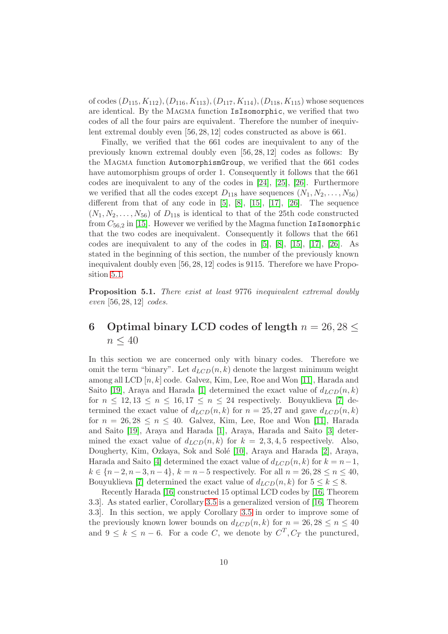of codes  $(D_{115}, K_{112}), (D_{116}, K_{113}), (D_{117}, K_{114}), (D_{118}, K_{115})$  whose sequences are identical. By the Magma function IsIsomorphic, we verified that two codes of all the four pairs are equivalent. Therefore the number of inequivlent extremal doubly even [56, 28, 12] codes constructed as above is 661.

Finally, we verified that the 661 codes are inequivalent to any of the previously known extremal doubly even [56, 28, 12] codes as follows: By the Magma function AutomorphismGroup, we verified that the 661 codes have automorphism groups of order 1. Consequently it follows that the 661 codes are inequivalent to any of the codes in [\[24\]](#page-16-10), [\[25\]](#page-16-9), [\[26\]](#page-16-6). Furthermore we verified that all the codes except  $D_{118}$  have sequences  $(N_1, N_2, \ldots, N_{56})$ different from that of any code in  $[5]$ ,  $[8]$ ,  $[15]$ ,  $[17]$ ,  $[26]$ . The sequence  $(N_1, N_2, \ldots, N_{56})$  of  $D_{118}$  is identical to that of the 25th code constructed from  $C_{56,2}$  in [\[15\]](#page-16-7). However we verified by the Magma function IsIsomorphic that the two codes are inequivalent. Consequently it follows that the 661 codes are inequivalent to any of the codes in [\[5\]](#page-15-5), [\[8\]](#page-15-6), [\[15\]](#page-16-7), [\[17\]](#page-16-5), [\[26\]](#page-16-6). As stated in the beginning of this section, the number of the previously known inequivalent doubly even [56, 28, 12] codes is 9115. Therefore we have Proposition [5.1.](#page-9-1)

<span id="page-9-1"></span>Proposition 5.1. *There exist at least* 9776 *inequivalent extremal doubly even* [56, 28, 12] *codes.*

## <span id="page-9-0"></span>6 Optimal binary LCD codes of length  $n = 26, 28 \le$  $n \leq 40$

In this section we are concerned only with binary codes. Therefore we omit the term "binary". Let  $d_{LCD}(n, k)$  denote the largest minimum weight among all LCD  $[n, k]$  code. Galvez, Kim, Lee, Roe and Won [\[11\]](#page-15-7), Harada and Saito [\[19\]](#page-16-11), Araya and Harada [\[1\]](#page-15-8) determined the exact value of  $d_{LCD}(n, k)$ for  $n \leq 12, 13 \leq n \leq 16, 17 \leq n \leq 24$  respectively. Bouyuklieva [\[7\]](#page-15-1) determined the exact value of  $d_{LCD}(n, k)$  for  $n = 25, 27$  and gave  $d_{LCD}(n, k)$ for  $n = 26, 28 \le n \le 40$ . Galvez, Kim, Lee, Roe and Won [\[11\]](#page-15-7), Harada and Saito [\[19\]](#page-16-11), Araya and Harada [\[1\]](#page-15-8), Araya, Harada and Saito [\[3\]](#page-15-9) determined the exact value of  $d_{LCD}(n, k)$  for  $k = 2, 3, 4, 5$  respectively. Also, Dougherty, Kim, Ozkaya, Sok and Solé [\[10\]](#page-15-10), Araya and Harada [\[2\]](#page-15-11), Araya, Harada and Saito [\[4\]](#page-15-12) determined the exact value of  $d_{LCD}(n, k)$  for  $k = n-1$ ,  $k \in \{n-2, n-3, n-4\}, k = n-5$  respectively. For all  $n = 26, 28 \le n \le 40$ , Bouyuklieva [\[7\]](#page-15-1) determined the exact value of  $d_{LCD}(n, k)$  for  $5 \leq k \leq 8$ .

Recently Harada [\[16\]](#page-16-2) constructed 15 optimal LCD codes by [\[16,](#page-16-2) Theorem 3.3]. As stated earlier, Corollary [3.5](#page-4-1) is a generalized version of [\[16,](#page-16-2) Theorem 3.3]. In this section, we apply Corollary [3.5](#page-4-1) in order to improve some of the previously known lower bounds on  $d_{LCD}(n, k)$  for  $n = 26, 28 \le n \le 40$ and  $9 \leq k \leq n-6$ . For a code C, we denote by  $C^T$ ,  $C_T$  the punctured,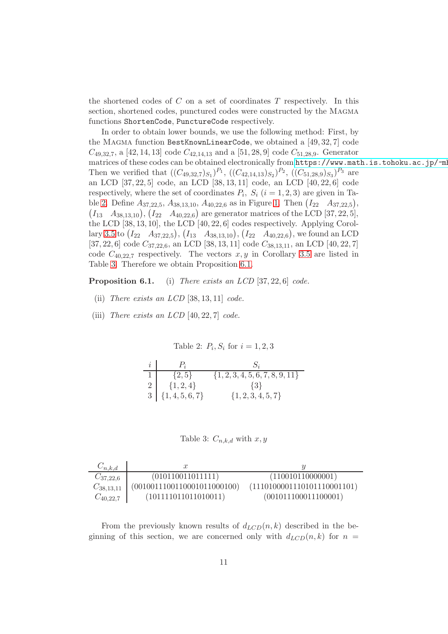the shortened codes of  $C$  on a set of coordinates  $T$  respectively. In this section, shortened codes, punctured codes were constructed by the Magma functions ShortenCode, PunctureCode respectively.

In order to obtain lower bounds, we use the following method: First, by the Magma function BestKnownLinearCode, we obtained a [49, 32, 7] code  $C_{49,32,7}$ , a [42, 14, 13] code  $C_{42,14,13}$  and a [51, 28, 9] code  $C_{51,28,9}$ . Generator matrices of these codes can be obtained electronically from https://www.math.is.tohoku.ac.jp/~ml Then we verified that  $((C_{49,32,7})_{S_1})^{P_1}, ((C_{42,14,13})_{S_2})^{P_2}, ((C_{51,28,9})_{S_3})^{P_3}$  are an LCD [37, 22, 5] code, an LCD [38, 13, 11] code, an LCD [40, 22, 6] code respectively, where the set of coordinates  $P_i$ ,  $S_i$   $(i = 1, 2, 3)$  are given in Ta-ble [2.](#page-10-0) Define  $A_{37,22,5}$ ,  $A_{38,13,10}$ ,  $A_{40,22,6}$  as in Figure [1.](#page-14-0) Then  $(I_{22} \quad A_{37,22,5})$ ,  $(I_{13} \quad A_{38,13,10}), (I_{22} \quad A_{40,22,6})$  are generator matrices of the LCD [37, 22, 5], the LCD [38, 13, 10], the LCD [40, 22, 6] codes respectively. Applying Corol-lary [3.5](#page-4-1) to  $(I_{22} \quad A_{37,22,5})$ ,  $(I_{13} \quad A_{38,13,10})$ ,  $(I_{22} \quad A_{40,22,6})$ , we found an LCD [37, 22, 6] code  $C_{37,22,6}$ , an LCD [38, 13, 11] code  $C_{38,13,11}$ , an LCD [40, 22, 7] code  $C_{40,22,7}$  respectively. The vectors  $x, y$  in Corollary [3.5](#page-4-1) are listed in Table [3.](#page-10-1) Therefore we obtain Proposition 6.1.

Proposition 6.1. (i) *There exists an LCD* [37, 22, 6] *code.*

- (ii) *There exists an LCD* [38, 13, 11] *code.*
- (iii) *There exists an LCD* [40, 22, 7] *code.*

<span id="page-10-0"></span>Table 2:  $P_i, S_i$  for  $i = 1, 2, 3$ 

| i              | $P_i$               |                                     |
|----------------|---------------------|-------------------------------------|
|                | $\{2, 5\}$          | $\{1, 2, 3, 4, 5, 6, 7, 8, 9, 11\}$ |
| $\overline{2}$ | $\{1, 2, 4\}$       | $\{3\}$                             |
|                | $3   \{1,4,5,6,7\}$ | $\{1, 2, 3, 4, 5, 7\}$              |

<span id="page-10-1"></span>Table 3:  $C_{n,k,d}$  with  $x, y$ 

| $C_{n,k,d}$    | $\boldsymbol{x}$            |                             |
|----------------|-----------------------------|-----------------------------|
| $C_{37,22,6}$  | (010110011011111)           | (110010110000001)           |
| $C_{38,13,11}$ | (0010011100110001011000100) | (1110100001110101110001101) |
| $C_{40,22,7}$  | (101111011011010011)        | (001011100011100001)        |

From the previously known results of  $d_{LCD}(n, k)$  described in the beginning of this section, we are concerned only with  $d_{LCD}(n, k)$  for  $n =$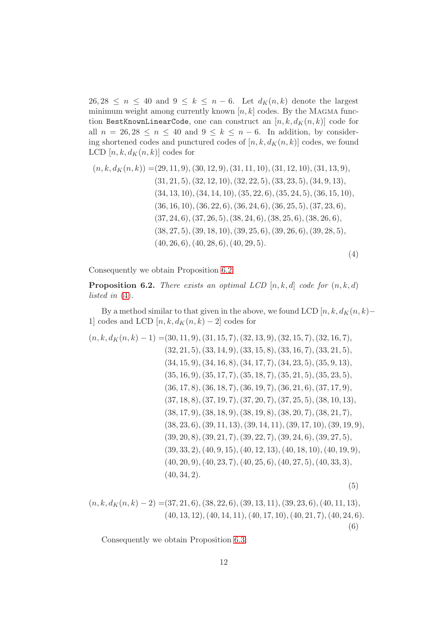$26, 28 \leq n \leq 40$  and  $9 \leq k \leq n-6$ . Let  $d_K(n, k)$  denote the largest minimum weight among currently known  $[n, k]$  codes. By the MAGMA function BestKnownLinearCode, one can construct an  $[n, k, d_K(n, k)]$  code for all  $n = 26, 28 \le n \le 40$  and  $9 \le k \le n - 6$ . In addition, by considering shortened codes and punctured codes of  $[n, k, d<sub>K</sub>(n, k)]$  codes, we found LCD  $[n, k, d_K(n, k)]$  codes for

<span id="page-11-1"></span>
$$
(n, k, dK(n, k)) = (29, 11, 9), (30, 12, 9), (31, 11, 10), (31, 12, 10), (31, 13, 9),(31, 21, 5), (32, 12, 10), (32, 22, 5), (33, 23, 5), (34, 9, 13),(34, 13, 10), (34, 14, 10), (35, 22, 6), (35, 24, 5), (36, 15, 10),(36, 16, 10), (36, 22, 6), (36, 24, 6), (36, 25, 5), (37, 23, 6),(37, 24, 6), (37, 26, 5), (38, 24, 6), (38, 25, 6), (38, 26, 6),(38, 27, 5), (39, 18, 10), (39, 25, 6), (39, 26, 6), (39, 28, 5),(40, 26, 6), (40, 28, 6), (40, 29, 5).
$$

$$
\left( 4\right)
$$

Consequently we obtain Proposition [6.2.](#page-11-0)

<span id="page-11-0"></span>**Proposition 6.2.** *There exists an optimal LCD*  $[n, k, d]$  *code for*  $(n, k, d)$ *listed in* [\(4\)](#page-11-1)*.*

By a method similar to that given in the above, we found LCD [n, k,  $d_K(n, k)$ − 1] codes and LCD  $[n, k, d_K(n, k) - 2]$  codes for

<span id="page-11-2"></span>
$$
(n, k, dK(n, k) - 1) = (30, 11, 9), (31, 15, 7), (32, 13, 9), (32, 15, 7), (32, 16, 7), (32, 21, 5), (32, 21, 5), (33, 14, 9), (33, 15, 8), (33, 16, 7), (33, 21, 5), (34, 15, 9), (34, 16, 8), (34, 17, 7), (34, 23, 5), (35, 9, 13), (35, 16, 9), (35, 17, 7), (35, 18, 7), (35, 21, 5), (35, 23, 5), (36, 17, 8), (36, 18, 7), (36, 19, 7), (36, 21, 6), (37, 17, 9), (37, 18, 8), (37, 19, 7), (37, 20, 7), (37, 25, 5), (38, 10, 13), (38, 17, 9), (38, 18, 9), (38, 19, 8), (38, 20, 7), (38, 21, 7), (38, 23, 6), (39, 11, 13), (39, 14, 11), (39, 17, 10), (39, 19, 9), (39, 20, 8), (39, 21, 7), (39, 22, 7), (39, 24, 6), (39, 27, 5), (39, 33, 2), (40, 9, 15), (40, 12, 13), (40, 18, 10), (40, 19, 9), (40, 20, 9), (40, 23, 7), (40, 25, 6), (40, 27, 5), (40, 33, 3), (40, 34, 2).
$$

<span id="page-11-3"></span>
$$
(n, k, dK(n, k) - 2) = (37, 21, 6), (38, 22, 6), (39, 13, 11), (39, 23, 6), (40, 11, 13),(40, 13, 12), (40, 14, 11), (40, 17, 10), (40, 21, 7), (40, 24, 6).
$$
(6)

Consequently we obtain Proposition [6.3.](#page-12-0)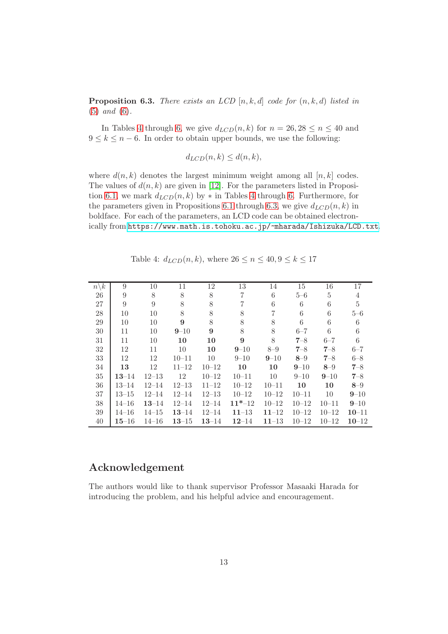<span id="page-12-0"></span>Proposition 6.3. *There exists an LCD* [n, k, d] *code for* (n, k, d) *listed in* [\(5\)](#page-11-2) *and* [\(6\)](#page-11-3)*.*

In Tables [4](#page-12-1) through [6,](#page-13-0) we give  $d_{LCD}(n, k)$  for  $n = 26, 28 \le n \le 40$  and  $9 \leq k \leq n-6$ . In order to obtain upper bounds, we use the following:

$$
d_{LCD}(n,k) \le d(n,k),
$$

where  $d(n, k)$  denotes the largest minimum weight among all  $[n, k]$  codes. The values of  $d(n, k)$  are given in [\[12\]](#page-15-13). For the parameters listed in Proposi-tion [6.](#page-13-0)1, we mark  $d_{LCD}(n, k)$  by  $*$  in Tables [4](#page-12-1) through 6. Furthermore, for the parameters given in Propositions 6.1 through [6.3,](#page-12-0) we give  $d_{LCD}(n, k)$  in boldface. For each of the parameters, an LCD code can be obtained electronically from <https://www.math.is.tohoku.ac.jp/~mharada/Ishizuka/LCD.txt>.

<span id="page-12-1"></span>Table 4:  $d_{LCD}(n, k)$ , where  $26 \le n \le 40, 9 \le k \le 17$ 

| $n\backslash k$ | 9         | 10        | 11        | 12        | 13        | 14        | 15        | 16        | 17        |
|-----------------|-----------|-----------|-----------|-----------|-----------|-----------|-----------|-----------|-----------|
| 26              | 9         | 8         | 8         | 8         | 7         | 6         | $5 - 6$   | 5         | 4         |
| 27              | 9         | 9         | 8         | 8         | 7         | 6         | 6         | 6         | 5         |
| ${\bf 28}$      | 10        | 10        | 8         | 8         | 8         | 7         | 6         | 6         | $5 - 6$   |
| 29              | 10        | 10        | 9         | 8         | 8         | 8         | 6         | 6         | 6         |
| 30              | 11        | 10        | $9 - 10$  | 9         | 8         | 8         | $6 - 7$   | 6         | 6         |
| 31              | 11        | 10        | 10        | 10        | 9         | 8         | $7 - 8$   | $6 - 7$   | 6         |
| 32              | 12        | 11        | 10        | 10        | $9 - 10$  | $8 - 9$   | $7 - 8$   | $7 - 8$   | $6 - 7$   |
| 33              | 12        | 12        | $10 - 11$ | 10        | $9 - 10$  | $9 - 10$  | $8 - 9$   | $7 - 8$   | $6 - 8$   |
| 34              | 13        | 12        | $11 - 12$ | $10 - 12$ | 10        | 10        | $9 - 10$  | $8 - 9$   | $7 - 8$   |
| 35              | $13 - 14$ | $12 - 13$ | 12        | $10 - 12$ | $10 - 11$ | 10        | $9 - 10$  | $9 - 10$  | $7 - 8$   |
| 36              | $13 - 14$ | $12 - 14$ | $12 - 13$ | $11 - 12$ | $10 - 12$ | $10 - 11$ | 10        | 10        | $8 - 9$   |
| 37              | $13 - 15$ | $12 - 14$ | $12 - 14$ | $12 - 13$ | $10 - 12$ | $10 - 12$ | $10 - 11$ | 10        | $9 - 10$  |
| 38              | $14 - 16$ | $13 - 14$ | $12 - 14$ | $12 - 14$ | $11*-12$  | $10 - 12$ | $10 - 12$ | $10 - 11$ | $9 - 10$  |
| 39              | $14 - 16$ | $14 - 15$ | $13 - 14$ | $12 - 14$ | $11 - 13$ | $11 - 12$ | $10 - 12$ | $10 - 12$ | $10 - 11$ |
| 40              | $15 - 16$ | $14 - 16$ | $13 - 15$ | $13 - 14$ | $12 - 14$ | $11 - 13$ | $10 - 12$ | $10 - 12$ | $10 - 12$ |

## Acknowledgement

The authors would like to thank supervisor Professor Masaaki Harada for introducing the problem, and his helpful advice and encouragement.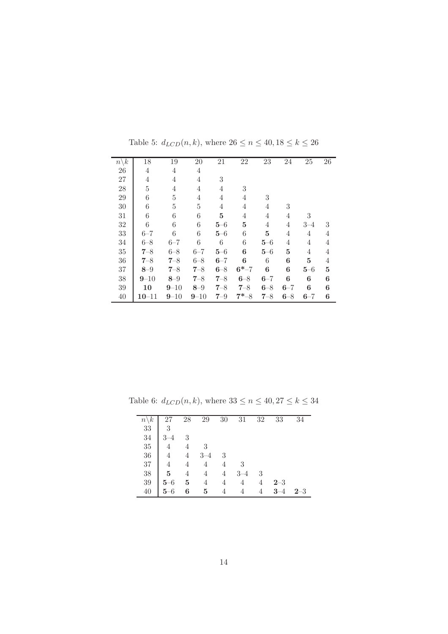| $n\backslash k$ | 18             | 19              | 20             | 21       | 22             | 23      | 24      | 25      | $26\,$ |
|-----------------|----------------|-----------------|----------------|----------|----------------|---------|---------|---------|--------|
| 26              | 4              | 4               | $\overline{4}$ |          |                |         |         |         |        |
| 27              | 4              | $\overline{4}$  | 4              | 3        |                |         |         |         |        |
| $28\,$          | $\overline{5}$ | $\overline{4}$  | $\overline{4}$ | 4        | 3              |         |         |         |        |
| 29              | 6              | $\rm 5$         | 4              | 4        | 4              | 3       |         |         |        |
| $30\,$          | 6              | $\rm 5$         | 5              | 4        | 4              | 4       | 3       |         |        |
| 31              | 6              | $6\phantom{.}6$ | 6              | $\bf{5}$ | $\overline{4}$ | 4       | 4       | 3       |        |
| 32              | 6              | $6\phantom{.}6$ | 6              | $5 - 6$  | $\overline{5}$ | 4       | 4       | $3 - 4$ | 3      |
| 33              | $6 - 7$        | $\,6$           | 6              | $5 - 6$  | 6              | 5       | 4       | 4       | 4      |
| 34              | $6 - 8$        | $6 - 7$         | 6              | 6        | 6              | $5 - 6$ | 4       | 4       | 4      |
| $35\,$          | $7 - 8$        | $6 - 8$         | $6 - 7$        | $5 - 6$  | 6              | $5 - 6$ | 5       | 4       | 4      |
| 36              | $7 - 8$        | $7 - 8$         | $6 - 8$        | $6 - 7$  | 6              | 6       | 6       | 5       | 4      |
| 37              | $8 - 9$        | $7 - 8$         | $7 - 8$        | $6 - 8$  | $6^{*-7}$      | 6       | 6       | $5 - 6$ | 5      |
| 38              | $9 - 10$       | $8 - 9$         | $7 - 8$        | $7 - 8$  | $6 - 8$        | $6 - 7$ | 6       | 6       | 6      |
| 39              | 10             | $9 - 10$        | $8 - 9$        | $7 - 8$  | $7 - 8$        | $6 - 8$ | $6 - 7$ | 6       | 6      |
| 40              | $10 - 11$      | $9 - 10$        | $9 - 10$       | $7 - 9$  | $7 - 8$        | $7 - 8$ | $6 - 8$ | $6 - 7$ | 6      |

Table 5:  $d_{LCD}(n, k),$  where  $26 \leq n \leq 40, 18 \leq k \leq 26$ 

Table 6:  $d_{LCD}(n, k)$ , where  $33 \le n \le 40, 27 \le k \le 34$ 

<span id="page-13-0"></span>

| $n\backslash k$ |                | 28             | 29             | 30             | 31      | 32 | 33      | 34      |
|-----------------|----------------|----------------|----------------|----------------|---------|----|---------|---------|
| $33\,$          | 3              |                |                |                |         |    |         |         |
| 34              | $3 - 4$        | 3              |                |                |         |    |         |         |
| 35              | $\overline{4}$ | $\overline{4}$ | - 3            |                |         |    |         |         |
| $36\,$          | 4              | $\overline{4}$ | $3 - 4$        | -3             |         |    |         |         |
| $37\,$          | $\overline{4}$ | $\overline{4}$ | $\overline{4}$ | 4              | -3      |    |         |         |
| 38              | 5              | $\overline{4}$ | $\overline{4}$ | $\overline{4}$ | $3 - 4$ | 3  |         |         |
| 39              | $5 - 6$        | $\overline{5}$ | $\overline{4}$ | $\overline{4}$ | 4       | 4  | $2 - 3$ |         |
| 40              | $5 - 6$        | 6              | $\overline{5}$ | $\overline{4}$ | 4       | 4  | $3 - 4$ | $2 - 3$ |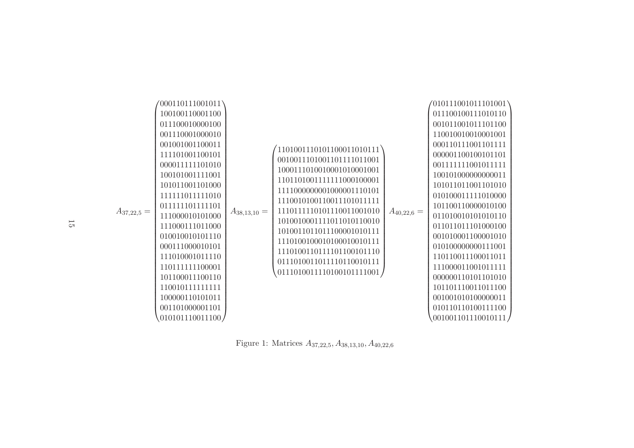| 100100110001100<br>011100100111010110<br>011100010000100<br>001011001011101100<br>001110001000010<br>110010010010001001<br>001001001100011<br>000110111001101111<br>1101001110101100011010111<br>111101001100101<br>000001100100101101<br>0010011101001101111011001<br>000011111101010<br>001111111001011111<br>1000111010010001010001001<br>100101001111001<br>100101000000000011<br>1101101001111111000100001<br>101011001101000<br>101011011001101010<br>1111000000001000001110101<br>111111011111010<br>010100011111010000<br>1110010100110011101011111<br>011111101111101<br>101100110000010100<br>1110111110101110011001010<br>$A_{40,22,6} =$<br>$A_{37,22,5} =$<br>$A_{38,13,10} =$<br>111000010101000<br>011010010101010110<br>1010010001111011010110010<br>111000111011000<br>011011011101000100<br>1010011011011100001010111<br>010010010101110<br>001010001100001010<br>1110100100010100010010111<br>000111000010101<br>010100000000111001<br>1110100110111101100101110<br>111010001011110<br>110110011100011011<br>0111010011011110110010111<br>1101111111100001<br>111000011001011111<br>0111010011110100101111001<br>101100011100110<br>000000110101101010<br>1100101111111111<br>101101110011011100<br>100000110101011<br>001001010100000011<br>001101000001101<br>010110110100111100<br>010101110011100/<br>001001101110010111/ |  |
|--------------------------------------------------------------------------------------------------------------------------------------------------------------------------------------------------------------------------------------------------------------------------------------------------------------------------------------------------------------------------------------------------------------------------------------------------------------------------------------------------------------------------------------------------------------------------------------------------------------------------------------------------------------------------------------------------------------------------------------------------------------------------------------------------------------------------------------------------------------------------------------------------------------------------------------------------------------------------------------------------------------------------------------------------------------------------------------------------------------------------------------------------------------------------------------------------------------------------------------------------------------------------------------------------------------------------------------------------|--|
|--------------------------------------------------------------------------------------------------------------------------------------------------------------------------------------------------------------------------------------------------------------------------------------------------------------------------------------------------------------------------------------------------------------------------------------------------------------------------------------------------------------------------------------------------------------------------------------------------------------------------------------------------------------------------------------------------------------------------------------------------------------------------------------------------------------------------------------------------------------------------------------------------------------------------------------------------------------------------------------------------------------------------------------------------------------------------------------------------------------------------------------------------------------------------------------------------------------------------------------------------------------------------------------------------------------------------------------------------|--|

<span id="page-14-0"></span>Figure 1: Matrices <sup>A</sup>37,22,5, <sup>A</sup><sup>38</sup>,13,10, <sup>A</sup>40,22,<sup>6</sup>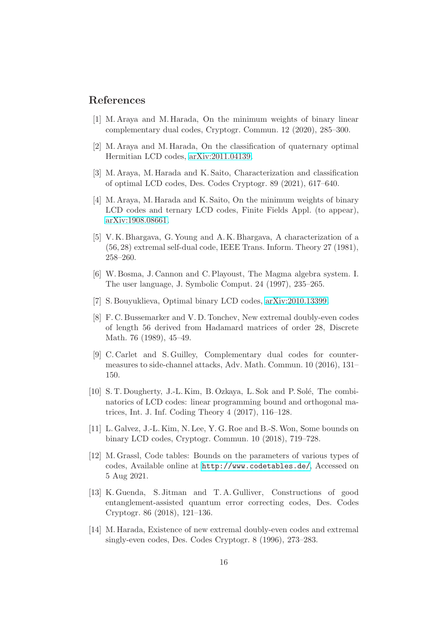#### <span id="page-15-8"></span>References

- [1] M. Araya and M. Harada, On the minimum weights of binary linear complementary dual codes, Cryptogr. Commun. 12 (2020), 285–300.
- <span id="page-15-11"></span><span id="page-15-9"></span>[2] M. Araya and M. Harada, On the classification of quaternary optimal Hermitian LCD codes, [arXiv:2011.04139.](http://arxiv.org/abs/2011.04139)
- <span id="page-15-12"></span>[3] M. Araya, M. Harada and K. Saito, Characterization and classification of optimal LCD codes, Des. Codes Cryptogr. 89 (2021), 617–640.
- [4] M. Araya, M. Harada and K. Saito, On the minimum weights of binary LCD codes and ternary LCD codes, Finite Fields Appl. (to appear), [arXiv:1908.08661.](http://arxiv.org/abs/1908.08661)
- <span id="page-15-5"></span>[5] V. K. Bhargava, G. Young and A. K. Bhargava, A characterization of a (56, 28) extremal self-dual code, IEEE Trans. Inform. Theory 27 (1981), 258–260.
- <span id="page-15-2"></span>[6] W. Bosma, J. Cannon and C. Playoust, The Magma algebra system. I. The user language, J. Symbolic Comput. 24 (1997), 235–265.
- <span id="page-15-6"></span><span id="page-15-1"></span>[7] S. Bouyuklieva, Optimal binary LCD codes, [arXiv:2010.13399.](http://arxiv.org/abs/2010.13399)
- [8] F. C. Bussemarker and V. D. Tonchev, New extremal doubly-even codes of length 56 derived from Hadamard matrices of order 28, Discrete Math. 76 (1989), 45–49.
- <span id="page-15-3"></span>[9] C. Carlet and S. Guilley, Complementary dual codes for countermeasures to side-channel attacks, Adv. Math. Commun. 10 (2016), 131– 150.
- <span id="page-15-10"></span>[10] S. T. Dougherty, J.-L. Kim, B. Ozkaya, L. Sok and P. Solé, The combinatorics of LCD codes: linear programming bound and orthogonal matrices, Int. J. Inf. Coding Theory 4 (2017), 116–128.
- <span id="page-15-7"></span>[11] L. Galvez, J.-L. Kim, N. Lee, Y. G. Roe and B.-S. Won, Some bounds on binary LCD codes, Cryptogr. Commun. 10 (2018), 719–728.
- <span id="page-15-13"></span>[12] M. Grassl, Code tables: Bounds on the parameters of various types of codes, Available online at <http://www.codetables.de/>, Accessed on 5 Aug 2021.
- <span id="page-15-4"></span>[13] K. Guenda, S. Jitman and T. A. Gulliver, Constructions of good entanglement-assisted quantum error correcting codes, Des. Codes Cryptogr. 86 (2018), 121–136.
- <span id="page-15-0"></span>[14] M. Harada, Existence of new extremal doubly-even codes and extremal singly-even codes, Des. Codes Cryptogr. 8 (1996), 273–283.